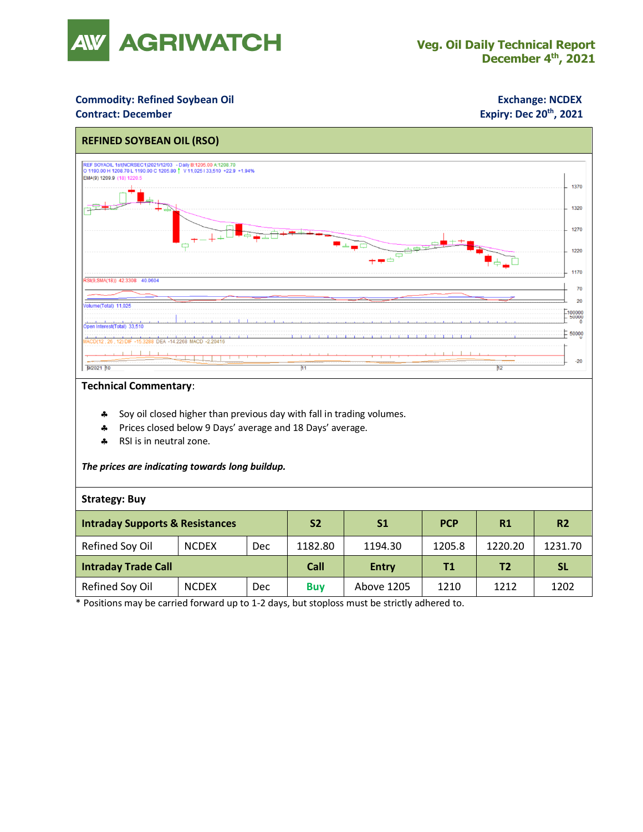

## **Commodity: Refined Soybean Oil <b>Exchange: NCDEX**

### **Contract: December**

## **Expiry: Dec 20<sup>th</sup>, 2021**



### **Technical Commentary**:

- **Soy oil closed higher than previous day with fall in trading volumes.**
- Prices closed below 9 Days' average and 18 Days' average.
- \* RSI is in neutral zone.

*The prices are indicating towards long buildup.*

### **Strategy: Buy**

| <b>Intraday Supports &amp; Resistances</b> |              |            | S <sub>2</sub> | S1           | <b>PCP</b> | R1             | R <sub>2</sub> |
|--------------------------------------------|--------------|------------|----------------|--------------|------------|----------------|----------------|
| Refined Soy Oil                            | <b>NCDEX</b> | Dec        | 1182.80        | 1194.30      | 1205.8     | 1220.20        | 1231.70        |
| <b>Intraday Trade Call</b>                 |              |            | Call           | <b>Entry</b> | Τ1         | T <sub>2</sub> | -SL            |
| Refined Soy Oil                            | <b>NCDEX</b> | <b>Dec</b> | <b>Buv</b>     | Above 1205   | 1210       | 1212           | 1202           |

\* Positions may be carried forward up to 1-2 days, but stoploss must be strictly adhered to.